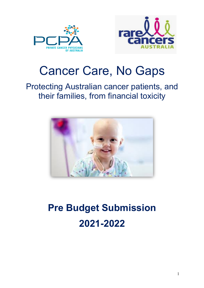



## Cancer Care, No Gaps

### Protecting Australian cancer patients, and their families, from financial toxicity



# **Pre Budget Submission 2021-2022**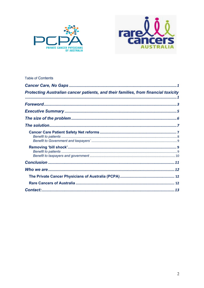



#### **Table of Contents**

| Protecting Australian cancer patients, and their families, from financial toxicity |  |
|------------------------------------------------------------------------------------|--|
|                                                                                    |  |
|                                                                                    |  |
|                                                                                    |  |
|                                                                                    |  |
|                                                                                    |  |
|                                                                                    |  |
|                                                                                    |  |
|                                                                                    |  |
|                                                                                    |  |
|                                                                                    |  |
|                                                                                    |  |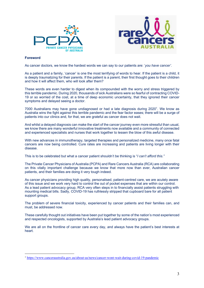



#### **Foreword**

As cancer doctors, we know the hardest words we can say to our patients are: '*you have cancer'*.

As a patient and a family, 'cancer' is one the most terrifying of words to hear. If the patient is a child, it is deeply traumatizing for their parents. If the patient is a parent, their first thought goes to their children and how it will affect them, who will look after them?

These words are even harder to digest when its compounded with the worry and stress triggered by this terrible pandemic. During 2020, thousands of sick Australians were so fearful of contracting COVID-19 or so worried of the cost, at a time of deep economic uncertainty, that they ignored their cancer symptoms and delayed seeing a doctor.

7000 Australians may have gone undiagnosed or had a late diagnosis during 2020<sup>1</sup>. We know as Australia wins the fight against this terrible pandemic and the fear factor eases; there will be a surge of patients into our clinics and, for that, we are grateful as cancer does not wait.

And whilst a delayed diagnosis can make the start of the cancer journey even more stressful than usual, we know there are many wonderful innovative treatments now available and a community of connected and experienced specialists and nurses that work together to lessen the blow of this awful disease.

With new advances in immunotherapy, targeted therapies and personalized medicine, many once fatal cancers are now being controlled. Cure rates are increasing and patients are living longer with their disease.

This is to be celebrated but what a cancer patient shouldn't be thinking is "*I can't afford this."*

The Private Cancer Physicians of Australia (PCPA) and Rare Cancers Australia (RCA) are collaborating on this vitally important challenge because we know that more now than ever, Australian cancer patients, and their families are doing it very tough indeed.

As cancer physicians providing high quality, personalised, patient-centred care, we are acutely aware of this issue and we work very hard to control the out of pocket expenses that are within our control. As a lead patient advocacy group, RCA very often steps in to financially assist patients struggling with mounting medical bills. Sadly, COVID-19 has ruthlessly stripped that cupboard bare for all patient support groups.

The problem of severe financial toxicity, experienced by cancer patients and their families can, and must, be addressed now.

These carefully thought out initiatives have been put together by some of the nation's most experienced and respected oncologists, supported by Australia's lead patient advocacy groups.

We are all on the frontline of cancer care every day, and always have the patient's best interests at heart.

<sup>1</sup> https://www.canceraustralia.gov.au/about-us/news/cancer-wont-wait-during-covid-19-pandemic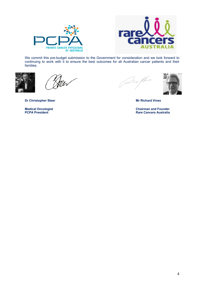



We commit this pre-budget submission to the Government for consideration and we look forward to continuing to work with it to ensure the best outcomes for all Australian cancer patients and their families.



 $\not\!\!{2}$ 





**Medical Oncologist Chairman and Founder Rare Cancers Australia** 

**Dr Christopher Steer Mr Richard Vines Mr Richard Vines**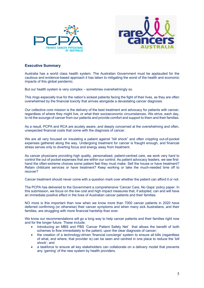



#### **Executive Summary**

Australia has a world class health system. The Australian Government must be applauded for the cautious and evidence-based approach it has taken to mitigating the worst of the health and economic impacts of this global pandemic.

But our health system is very complex – sometimes overwhelmingly so.

This rings especially true for the nation's sickest patients facing the fight of their lives, as they are often overwhelmed by the financial toxicity that arrives alongside a devastating cancer diagnosis.

Our collective core mission is the delivery of the best treatment and advocacy for patients with cancer, regardless of where they might live, or what their socioeconomic circumstances. We strive, each day, to rid the scourge of cancer from our patients and provide comfort and support to them and their families.

As a result, PCPA and RCA are acutely aware, and deeply concerned at the overwhelming and often, unexpected financial costs that come with the diagnosis of cancer.

We are all very focused on insulating a patient against "bill shock" and often crippling out-of-pocket expenses gathered along the way. Undergoing treatment for cancer is fraught enough, and financial stress serves only to diverting focus and energy away from treatment.

As cancer physicians providing high quality, personalised, patient-centred care, we work very hard to control the out of pocket expenses that are within our control. As patient advocacy leaders, we see firsthand the often-extreme choices some patient feel they must make. Sell the house or have treatment? Retain childcare services or have treatment? Keep working or take the much-needed time off to recover?

Cancer treatment should never come with a question mark over whether the patient can afford it or not.

The PCPA has delivered to the Government a comprehensive 'Cancer Care, No Gaps' policy paper. In this submission, we focus on the low cost and high impact measures that, if adopted, can and will have an immediate positive effect in the lives of Australian cancer patients and their families.

NO more is this important than now when we know more than 7000 cancer patients in 2020 have deferred confirming (or otherwise) their cancer symptoms and when many sick Australians, and their families, are struggling with more financial hardship than ever.

We know our recommendations will go a long way to help cancer patients and their families right now and for the longer future. These include:

- Introducing an MBS and PBS 'Cancer Patient Safety Net' that allows the benefit of both schemes to flow immediately to the patient, upon the clear diagnosis of cancer;
- the creation of a technology-driven 'financial concierge' system to ensure all bills (regardless of what, and where, that provider is) can be seen and centred in one place to reduce the 'bill shock'; and
- a taskforce to ensure all key stakeholders can collaborate on a delivery model that prevents any 'gaming' of the new system by health providers.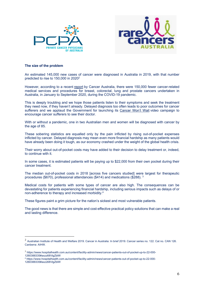



#### **The size of the problem**

An estimated 145,000 new cases of cancer were diagnosed in Australia in 2019, with that number predicted to rise to 150,000 in 2020<sup>2</sup>

However, according to a recent report by Cancer Australia, there were 150,000 fewer cancer-related medical services and procedures for breast, colorectal, lung and prostate cancers undertaken in Australia, in January to September 2020, during the COVID-19 pandemic.

This is deeply troubling and we hope those patients listen to their symptoms and seek the treatment they need now, if they haven't already. Delayed diagnosis too often leads to poor outcomes for cancer sufferers and we applaud the Government for launching its Cancer Won't Wait video campaign to encourage cancer sufferers to see their doctor.

With or without a pandemic, one in two Australian men and women will be diagnosed with cancer by the age of 85.

These sobering statistics are equalled only by the pain inflicted by rising out-of-pocket expenses inflicted by cancer. Delayed diagnosis may mean even more financial hardship as many patients would have already been doing it tough, as our economy crashed under the weight of the global health crisis.

Their worry about out-of-pocket costs may have added to their decision to delay treatment or, indeed, to continue with it.

In some cases, it is estimated patients will be paying up to \$22,000 from their own pocket during their cancer treatment.

The median out-of-pocket costs in 2018 [across five cancers studied] were largest for therapeutic procedures (\$670), professional attendances (\$414) and medications (\$288). 3

Medical costs for patients with some types of cancer are also high. The consequences can be devastating for patients experiencing financial hardship, including serious impacts such as delays of or non-adherence to therapy and increased morbidity.4

These figures paint a grim picture for the nation's sickest and most vulnerable patients.

The good news is that there are simple and cost-effective practical policy solutions that can make a real and lasting difference.

<sup>2</sup> Australian Institute of Health and Welfare 2019. Cancer in Australia: In brief 2019. Cancer series no. 122. Cat no. CAN 126. Canberra: AIHW.

<sup>3</sup> https://www.hospitalhealth.com.au/content/facility-admin/news/cancer-patients-out-of-pocket-up-to-22-000-

<sup>1260388335#</sup>axzz68VlgZblW

<sup>4</sup> https://www.hospitalhealth.com.au/content/facility-admin/news/cancer-patients-out-of-pocket-up-to-22-000-

<sup>1260388335#</sup>axzz68VlgZblW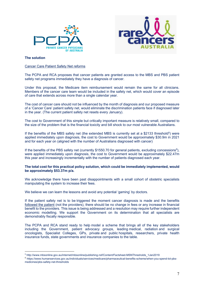



#### **The solution**

#### Cancer Care Patient Safety Net reforms

The PCPA and RCA proposes that cancer patients are granted access to the MBS and PBS patient safety net programs immediately they have a diagnosis of cancer.

Under this proposal, the Medicare item reimbursement would remain the same for all clinicians. Members of the cancer care team would be included in the safety net, which would cover an episode of care that extends across more than a single calendar year.

The cost of cancer care should not be influenced by the month of diagnosis and our proposed measure of a 'Cancer Care' patient safety net, would eliminate the discrimination patients face if diagnosed later in the year. (The current patient safety net resets every January).

The cost to Government of this simple but critically important measure is relatively small, compared to the size of the problem that is the financial toxicity and bill shock to our most vulnerable Australians.

If the benefits of the MBS safety net (the extended MBS is currently set at a \$2133 threshold<sup>5</sup>) were applied immediately upon diagnosis, the cost to Government would be approximately \$30.9m in 2021 and for each year on (aligned with the number of Australians diagnosed with cancer)

If the benefits of the PBS safety net (currently \$1550.70 for general patients, excluding concessions $6$ ), were applied immediately upon diagnosis, the cost to Government would be approximately \$22.47m this year and increasingly incrementally with the number of patients diagnosed each year.

#### **The total cost for this practical policy solution, which could be immediately implemented, would be approximately \$53.37m p/a.**

We acknowledge there have been past disappointments with a small cohort of obstetric specialists manipulating the system to increase their fees.

We believe we can learn the lessons and avoid any potential 'gaming' by doctors.

If the patient safety net is to be triggered the moment cancer diagnosis is made and the benefits followed the patient (not the providers), there should be no change in fees or any increase in financial benefit to the providers. This issue is being addressed and a resolution may require further independent economic modelling. We support the Government on its determination that all specialists are demonstrably fiscally responsible.

The PCPA and RCA stand ready to help model a scheme that brings all of the key stakeholders including the Government, patient advocacy groups, leading medical, radiation and surgical oncologists, Specialist Colleges, GPs, private and public hospitals, researchers, private health insurance funds, state governments and insurance companies to the table.

<sup>5</sup> http://www.mbsonline.gov.au/internet/mbsonline/publishing.nsf/Content/Factsheet-MSNThresholds\_1Jan2019

<sup>6</sup> https://www.humanservices.gov.au/individuals/services/medicare/pharmaceutical-benefits-scheme/when-you-spend-lot-pbsmedicines/pbs-safety-net-thresholds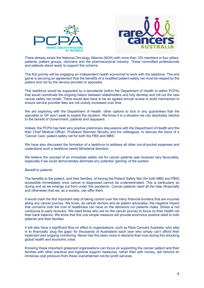



There already exists the National Oncology Alliance (NOA) with more than 100 members in four pillars: patients, patient groups, clinicians and the pharmaceutical industry. These committed professionals and patients stand ready to support this scheme.

The first priority will be engaging an independent health economist to work with the taskforce. The end game is securing an agreement that the benefits of a modified patient safety net must be reaped by the patient and not by the service provider or specialist.

This taskforce would be supported by a secretariat (within the Department of Health or within PCPA) that would coordinate the ongoing liaison between stakeholders and fully develop and roll out the new cancer safety net model. There would also have to be an agreed annual review or audit mechanism to ensure service provider fees are not unduly increased over time.

We are exploring with the Department of Health, other options to lock in any guarantees that the specialist or GP won't seek to exploit the situation. We know it is a situation we can absolutely resolve to the benefit of Government, patients and taxpayers.

Indeed, the PCPA has held very positive preliminary discussions with the Department of Health and the then Chief Medical Officer, Professor Brendan Murphy and his colleagues, to discuss the issue of a 'Cancer Care' patient safety net for both the PBS and MBS.

We have also discussed the formation of a taskforce to address all other out-of-pocket expenses and understand such a taskforce needs Ministerial direction.

We believe the concept of an immediate safety net for cancer patients was received very favourably, especially if we could demonstrably eliminate any potential 'gaming' of the system.

#### *Benefit to patients*

The benefits to the patient, and their families, of having the Patient Safety Net (for both MBS and PBS) accessible immediately once cancer is diagnosed cannot be underestimated. This is particularly so during and as we emerge out from under this pandemic. Cancer patients need all the help (financially and otherwise) that we, as a society, can offer them.

It would mark the first important step of taking control over the many financial burdens that are incurred along any cancer journey. We know, as cancer doctors and as patient advocates, the negative impact that concerns over the cost of healthcare can have on the decisions our patients make. Stress is not conducive to early recovery. We need those who are on the cancer journey to focus on their health not their bank balance. We know that this one simple measure will provide enormous positive relief to both patients and their families.

It will also have a significant flow on effect to organisations, such as Rare Cancers Australia, who step in to financially 'plug the gaps' for thousands of Australians each year who simply can't afford their treatment and ongoing monitoring. Never has this been more in demand than now during this shocking global health and economic crisis.

Knowing these important grassroot organisations can focus on supporting the cancer patient and their families with other practical and logistical support measures, rather than with money, will remove an immense cost pressure from these overwhelmed not-for-profit services.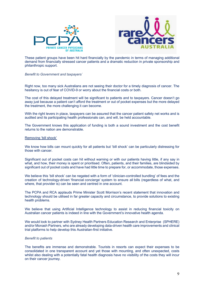



These patient groups have been hit hard financially by the pandemic in terms of managing additional demand from financially stressed cancer patients and a dramatic reduction in private sponsorship and philanthropic support.

*Benefit to Government and taxpayers`*

Right now, too many sick Australians are not seeing their doctor for a timely diagnosis of cancer. The hesitancy is out of fear of COVID-9 or worry about the financial costs or both.

The cost of this delayed treatment will be significant to patients and to taxpayers. Cancer doesn't go away just because a patient can't afford the treatment or out of pocket expenses but the more delayed the treatment, the more challenging it can become.

With the right levers in place, taxpayers can be assured that the cancer patient safety net works and is audited and its participating health professionals can, and will, be held accountable.

The Government knows this application of funding is both a sound investment and the cost benefit returns to the nation are demonstrable.

#### Removing 'bill shock'

We know how bills can mount quickly for all patients but 'bill shock' can be particularly distressing for those with cancer.

Significant out of pocket costs can hit without warning or with our patients having little, if any say in what, and how, their money is spent or prioritised. Often, patients, and their families, are blindsided by significant out of pocket costs and have had little time to prepare for, or accommodate, those expenses.

We believe this 'bill shock' can be negated with a form of 'clinician-controlled bundling' of fees and the creation of technology-driven 'financial concierge' system to ensure all bills (regardless of what, and where, that provider is) can be seen and centred in one account.

The PCPA and RCA applauds Prime Minister Scott Morrison's recent statement that innovation and technology should be utilised in far greater capacity and circumstance, to provide solutions to existing health problems.

We believe that using Artificial Intelligence technology to assist in reducing financial toxicity on Australian cancer patients is indeed in line with the Government's innovative health agenda.

We would look to partner with Sydney Health Partners Education Research and Enterprise (SPHERE) and/or Monash Partners, who are already developing data-driven health care improvements and clinical trial platforms to help develop this Australian-first initiative.

#### *Benefit to patients*

The benefits are immense and demonstrable. Tourists in resorts can expect their expenses to be consolidated in one transparent account and yet those with mounting, and often unexpected, costs whilst also dealing with a potentially fatal health diagnosis have no visibility of the costs they will incur on their cancer journey.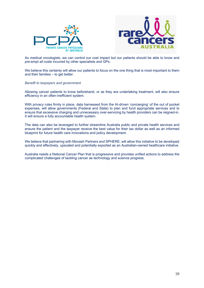



As medical oncologists, we can control our cost impact but our patients should be able to know and pre-empt *all* costs incurred by other specialists and GPs.

We believe this certainty will allow our patients to focus on the one thing that is most important to them and their families – to get better.

#### *Benefit to taxpayers and government*

Allowing cancer patients to know beforehand, or as they are undertaking treatment, will also ensure efficiency in an often-inefficient system.

With privacy rules firmly in place, data harnessed from the AI-driven 'concierging' of the out of pocket expenses, will allow governments (Federal and State) to plan and fund appropriate services and to ensure that excessive charging and unnecessary over-servicing by health providers can be reigned-in. It will ensure a fully accountable health system.

The data can also be leveraged to further streamline Australia public and private health services and ensure the patient and the taxpayer receive the best value for their tax dollar as well as an informed blueprint for future health care innovations and policy development.

We believe that partnering with Monash Partners and SPHERE, will allow this initiative to be developed quickly and effectively, upscaled and potentially exported as an Australian-owned healthcare initiative.

Australia needs a National Cancer Plan that is progressive and provides unified actions to address the complicated challenges of tackling cancer as technology and science progress.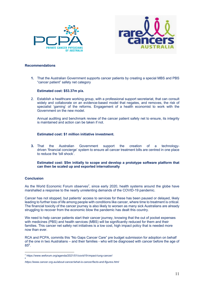



#### **Recommendations**

**1.** That the Australian Government supports cancer patients by creating a special MBS and PBS "cancer patient" safety net category

#### **Estimated cost: \$53.37m p/a.**

2. Establish a healthcare working group, with a professional support secretariat, that can consult widely and collaborate on an evidence-based model that negates, and removes, the risk of specialist 'gaming' of the reforms. Engagement of a health economist to work with the Government on the new model.

Annual auditing and benchmark review of the cancer patient safety net to ensure, its integrity is maintained and action can be taken if not.

#### **Estimated cost: \$1 million initiative investment.**

**3.** That the Australian Government support the creation of a technologydriven 'financial concierge' system to ensure all cancer treatment bills are centred in one place to reduce the 'bill shock'.

#### **Estimated cost: \$5m initially to scope and develop a prototype software platform that can then be scaled up and exported internationally**

#### **Conclusion**

As the World Economic Forum observes<sup>7</sup>, since early 2020, health systems around the globe have marshalled a response to the nearly unrelenting demands of the COVID-19 pandemic.

Cancer has not stopped, but patients' access to services for these has been paused or delayed, likely leading to further loss of life among people with conditions like cancer, where time to treatment is critical. The financial toxicity of the cancer journey is also likely to worsen as many sick Australians are already struggling to recover from the economic blow the pandemic has dealt this country.

We need to help cancer patients start their cancer journey, knowing that the out of pocket expenses with medicines (PBS) and health services (MBS) will be significantly reduced for them and their families. This cancer net safety net initiatives is a low cost, high impact policy that is needed more now than ever.

RCA and PCPA, commits this "No Gaps Cancer Care" pre budget submission for adoption on behalf of the one in two Australians – and their families - who will be diagnosed with cancer before the age of 858.

<sup>7</sup> https://www.weforum.org/agenda/2021/01/covid19-impact-lung-cancer/ 8

*https://www.cancer.org.au/about-cancer/what-is-cancer/facts-and-figures.html*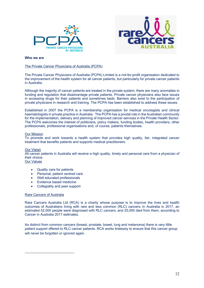



#### **Who we are**

#### The Private Cancer Physicians of Australia (PCPA)

The Private Cancer Physicians of Australia (PCPA) Limited is a not-for-profit organisation dedicated to the improvement of the health system for all cancer patients, but particularly for private cancer patients in Australia.

Although the majority of cancer patients are treated in the private system, there are many anomalies in funding and regulation that disadvantage private patients. Private cancer physicians also face issues in accessing drugs for their patients and sometimes beds. Barriers also exist to the participation of private physicians in research and training. The PCPA has been established to address these issues.

Established in 2007 the PCPA is a membership organisation for medical oncologists and clinical haematologists in private practice in Australia. The PCPA has a pivotal role in the Australian community for the implementation, delivery and planning of improved cancer services in the Private Health Sector. The PCPA welcomes the interest of politicians, policy makers, funding bodies, health providers, other professionals, professional organisations and, of course, patients themselves.

#### Our Mission

To promote and work towards a health system that provides high quality, fair, integrated cancer treatment that benefits patients and supports medical practitioners.

#### Our Vision

All cancer patients in Australia will receive a high quality, timely and personal care from a physician of their choice.

#### Our Values

- Quality care for patients
- Personal, patient centred care
- Well educated professionals
- Evidence based medicine
- Collegiality and peer support

#### Rare Cancers of Australia

Rare Cancers Australia Ltd (RCA) is a charity whose purpose is to improve the lives and health outcomes of Australians living with rare and less common (RLC) cancers. In Australia in 2017, an estimated 52,000 people were diagnosed with RLC cancers, and 25,000 died from them, according to Cancer in Australia 2017 estimates.

As distinct from common cancers (breast, prostate, bowel, lung and melanoma) there is very little patient support offered to RLC cancer patients. RCA works tirelessly to ensure that this cancer group will never be forgotten or ignored again.